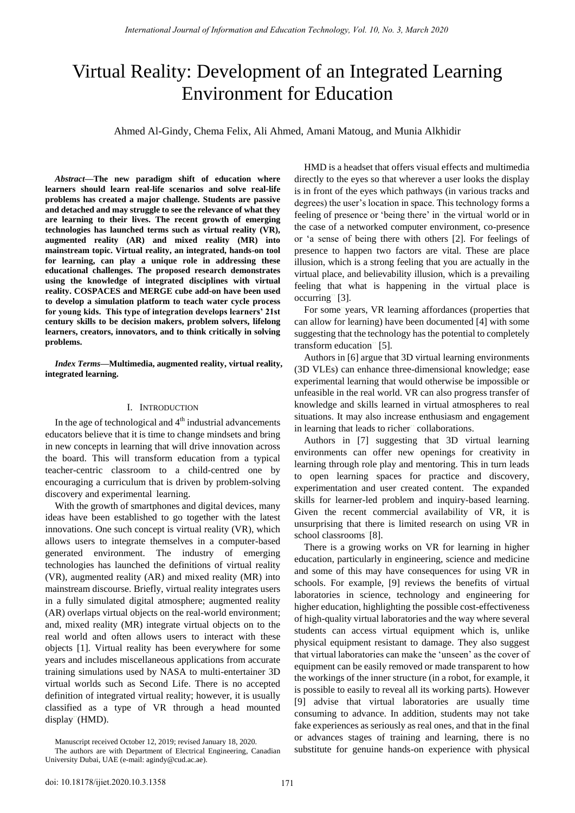# Virtual Reality: Development of an Integrated Learning Environment for Education

Ahmed Al-Gindy, Chema Felix, Ali Ahmed, Amani Matoug, and Munia Alkhidir

*Abstract***—The new paradigm shift of education where learners should learn real-life scenarios and solve real-life problems has created a major challenge. Students are passive and detached and may struggle to see the relevance of what they are learning to their lives. The recent growth of emerging technologies has launched terms such as virtual reality (VR), augmented reality (AR) and mixed reality (MR) into mainstream topic. Virtual reality, an integrated, hands-on tool for learning, can play a unique role in addressing these educational challenges. The proposed research demonstrates using the knowledge of integrated disciplines with virtual reality. COSPACES and MERGE cube add-on have been used to develop a simulation platform to teach water cycle process for young kids. This type of integration develops learners' 21st century skills to be decision makers, problem solvers, lifelong learners, creators, innovators, and to think critically in solving problems.** 

*Index Terms***—Multimedia, augmented reality, virtual reality, integrated learning.** 

# I. INTRODUCTION

In the age of technological and  $4<sup>th</sup>$  industrial advancements educators believe that it is time to change mindsets and bring in new concepts in learning that will drive innovation across the board. This will transform education from a typical teacher-centric classroom to a child-centred one by encouraging a curriculum that is driven by problem-solving discovery and experimental"learning.

With the growth of smartphones and digital devices, many ideas have been established to go together with the latest innovations. One such concept is virtual reality (VR), which allows users to integrate themselves in a computer-based generated environment. The industry of emerging technologies has launched the definitions of virtual reality (VR), augmented reality (AR) and mixed reality (MR) into mainstream discourse. Briefly, virtual reality integrates users in a fully simulated digital atmosphere; augmented reality (AR) overlaps virtual objects on the real-world environment; and, mixed reality (MR) integrate virtual objects on to the real world and often allows users to interact with these objects [1]. Virtual reality has been everywhere for some years and includes miscellaneous applications from accurate training simulations used by NASA to multi-entertainer 3D virtual worlds such as Second Life. There is no accepted definition of integrated virtual reality; however, it is usually classified as a type of VR through a head mounted display"(HMD).

HMD is a headset that offers visual effects and multimedia directly to the eyes so that wherever a user looks the display is in front of the eyes which pathways (in various tracks and degrees) the user"s location in space. This technology forms a feeling of presence or 'being there' in"the virtual 'world or in the case of a networked computer environment, co-presence or "a sense of being there with others [2]. For feelings of presence to happen two factors are vital. These are place illusion, which is a strong feeling that you are actually in the virtual place, and believability illusion, which is a prevailing feeling that what is happening in the virtual place is occurring" [3].

For some"years, VR learning affordances (properties that can allow for learning) have been documented [4] with some suggesting that the technology has the potential to completely transform education" [5].

Authors in [6] argue that 3D virtual learning environments (3D VLEs) can enhance three-dimensional knowledge; ease experimental learning that would otherwise be impossible or unfeasible in the real world. VR can also progress transfer of knowledge and skills learned in virtual atmospheres to real situations. It may also increase enthusiasm and engagement in learning that leads to richer" collaborations.

Authors in [7] suggesting that 3D virtual learning environments can offer new openings for creativity in learning through role play and mentoring. This in turn leads to open learning spaces for practice and discovery, experimentation and user created content. The expanded skills for learner-led problem and inquiry-based learning. Given the recent commercial availability of VR, it is unsurprising that there is limited research on using VR in school classrooms"[8].

There is a growing works on VR for learning in higher education, particularly in engineering, science and medicine and some of this may have consequences for using VR in schools. For example, [9] reviews the benefits of virtual laboratories in science, technology and engineering for higher education, highlighting the possible cost-effectiveness of high-quality virtual laboratories and the way where several students can access virtual equipment which is, unlike physical equipment resistant to damage. They also suggest that virtual laboratories can make the "unseen" as the cover of equipment can be easily removed or made transparent to how the workings of the inner structure (in a robot, for example, it is possible to easily to reveal all its working parts). However [9] advise that virtual laboratories are usually time consuming to advance. In addition, students may not take fake experiences as seriously as real ones, and that in the final or advances stages of training and learning, there is no substitute for genuine hands-on experience with physical

Manuscript received October 12, 2019; revised January 18, 2020.

The authors are with Department of Electrical Engineering, Canadian University Dubai, UAE (e-mail[: agindy@cud.ac.ae\).](mailto:agindy@cud.ac.ae)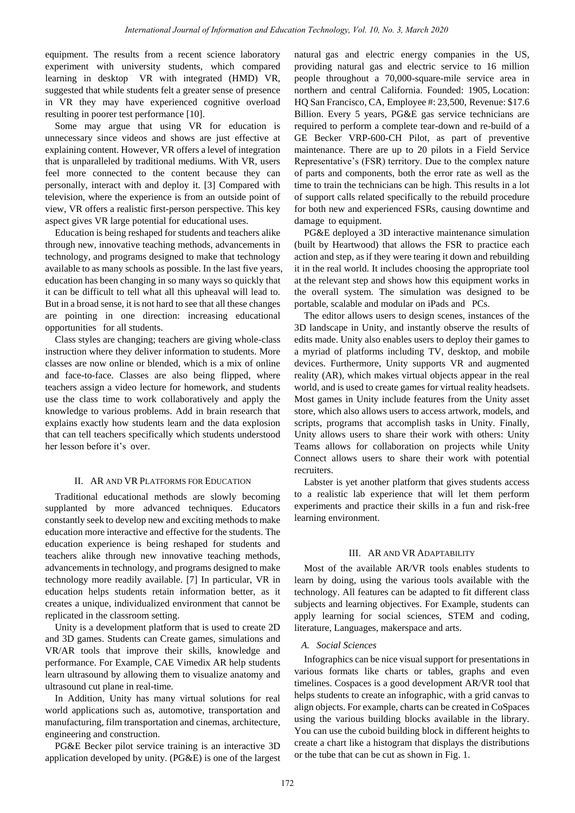equipment. The results from a recent science laboratory experiment with university students, which compared learning in desktop" VR with integrated (HMD) VR, suggested that while students felt a greater sense of presence in VR they may have experienced cognitive overload resulting in poorer test performance [10].

Some may argue that using VR for education is unnecessary since videos and shows are just effective at explaining content. However, VR offers a level of integration that is unparalleled by traditional mediums. With VR, users feel more connected to the content because they can personally, interact with and deploy it. [3] Compared with television, where the experience is from an outside point of view, VR offers a realistic first-person perspective. This key aspect gives VR large potential for educational uses.

Education is being reshaped for students and teachers alike through new, innovative teaching methods, advancements in technology, and programs designed to make that technology available to as many schools as possible. In the last five years, education has been changing in so many ways so quickly that it can be difficult to tell what all this upheaval will lead to. But in a broad sense, it is not hard to see that all these changes are pointing in one direction: increasing educational opportunities" for all students.

Class styles are changing; teachers are giving whole-class instruction where they deliver information to students. More classes are now online or blended, which is a mix of online and face-to-face. Classes are also being flipped, where teachers assign a video lecture for homework, and students use the class time to work collaboratively and apply the knowledge to various problems. Add in brain research that explains exactly how students learn and the data explosion that can tell teachers specifically which students understood her lesson before it's"over.

#### II. AR AND VR PLATFORMS FOR EDUCATION

Traditional educational methods are slowly becoming supplanted by more advanced techniques. Educators constantly seek to develop new and exciting methods to make education more interactive and effective for the students. The education experience is being reshaped for students and teachers alike through new innovative teaching methods, advancements in technology, and programs designed to make technology more readily available. [7] In particular, VR in education helps students retain information better, as it creates a unique, individualized environment that cannot be replicated in the classroom setting.

Unity is a development platform that is used to create 2D and 3D games. Students can Create games, simulations and VR/AR tools that improve their skills, knowledge and performance. For Example, CAE Vimedix AR help students learn ultrasound by allowing them to visualize anatomy and ultrasound cut plane in real-time.

In Addition, Unity has many virtual solutions for real world applications such as, automotive, transportation and manufacturing, film transportation and cinemas, architecture, engineering and construction.

PG&E Becker pilot service training is an interactive 3D application developed by unity. (PG&E) is one of the largest natural"gas and electric energy companies in the US, providing natural gas and electric service to 16 million people throughout a 70,000-square-mile service area in northern and central California. Founded: 1905, Location: HQ San Francisco, CA, Employee #: 23,500, Revenue: \$17.6 Billion. Every 5 years, PG&E gas service technicians are required to perform a complete tear-down and re-build of a GE Becker VRP-600-CH Pilot, as part of preventive maintenance. There are up to 20 pilots in a Field Service Representative"s (FSR) territory. Due to the complex nature of parts and components, both the error rate as well as the time to train the technicians can be high. This results in a lot of support calls related specifically to the rebuild procedure for both new and experienced FSRs, causing downtime and damage"to equipment.

PG&E deployed a 3D interactive maintenance simulation (built by Heartwood) that allows the FSR to practice each action and step, as if they were tearing it down and rebuilding it in the real world. It includes choosing the appropriate tool at the relevant step and shows how this equipment works in the overall system. The simulation was designed to be portable, scalable and modular on iPads and" PCs.

The editor allows users to design scenes, instances of the 3D landscape in Unity, and instantly observe the results of edits made. Unity also enables users to deploy their games to a myriad of platforms including TV, desktop, and mobile devices. Furthermore, Unity supports VR and augmented reality (AR), which makes virtual objects appear in the real world, and is used to create games for virtual reality headsets. Most games in Unity include features from the Unity asset store, which also allows users to access artwork, models, and scripts, programs that accomplish tasks in Unity. Finally, Unity allows users to share their work with others: Unity Teams allows for collaboration on projects while Unity Connect allows users to share their work with potential recruiters.

Labster is yet another platform that gives students access to a realistic lab experience that will let them perform experiments and practice their skills in a fun and risk-free learning environment.

# III. AR AND VR ADAPTABILITY

Most of the available AR/VR tools enables students to learn by doing, using the various tools available with the technology. All features can be adapted to fit different class subjects and learning objectives. For Example, students can apply learning for social sciences, STEM and coding, literature, Languages, makerspace and arts.

## *A. Social Sciences*

Infographics can be nice visual support for presentations in various formats like charts or tables, graphs and even timelines. Cospaces is a good development AR/VR tool that helps students to create an infographic, with a grid canvas to align objects. For example, charts can be created in CoSpaces using the various building blocks available in the library. You can use the cuboid building block in different heights to create a chart like a histogram that displays the distributions or the tube that can be cut as shown in Fig. 1.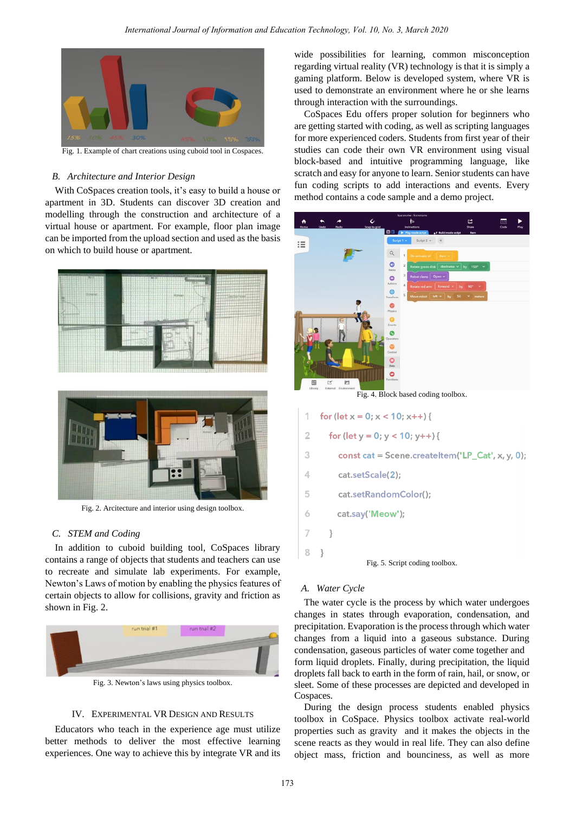

Fig. 1. Example of chart creations using cuboid tool in Cospaces.

# *B. Architecture and Interior Design*

With CoSpaces creation tools, it's easy to build a house or apartment in 3D. Students can discover 3D creation and modelling through the construction and architecture of a virtual house or apartment. For example, floor plan image can be imported from the upload section and used as the basis on which to build house or apartment.





Fig. 2. Arcitecture and interior using design toolbox.

### *C. STEM and Coding*

In addition to cuboid building tool, CoSpaces library contains a range of objects that students and teachers can use to recreate and simulate lab experiments. For example, Newton"s Laws of motion by enabling the physics features of certain objects to allow for collisions, gravity and friction as shown in Fig. 2.



Fig. 3. Newton"s laws using physics toolbox.

# IV. EXPERIMENTAL VR DESIGN AND RESULTS

Educators who teach in the experience age must utilize better methods to deliver the most effective learning experiences. One way to achieve this by integrate VR and its wide possibilities for learning, common misconception regarding virtual reality (VR) technology is that it is simply a gaming platform. Below is developed system, where VR is used to demonstrate an environment where he or she learns through interaction with the surroundings.

CoSpaces Edu offers proper solution for beginners who are getting started with coding, as well as scripting languages for more experienced coders. Students from first year of their studies can code their own VR environment using visual block-based and intuitive programming language, like scratch and easy for anyone to learn. Senior students can have fun coding scripts to add interactions and events. Every method contains a code sample and a demo project.



Fig. 4. Block based coding toolbox.

- for  $(\text{let } x = 0; x < 10; x++)$
- $\overline{2}$ for  $(\text{let } y = 0; y < 10; y++)$
- 3 const cat = Scene.createItem('LP\_Cat', x, y, 0);
- $\triangle$ cat.setScale(2);
- 5 cat.setRandomColor();
- 6 cat.say('Meow');
- $\overline{7}$  $\rightarrow$

8  $\rightarrow$ 



## *A. Water Cycle*

The water cycle is the process by which water undergoes changes in states through evaporation, condensation, and precipitation. Evaporation is the process through which water changes from a liquid into a gaseous substance. During condensation, gaseous particles of water come together and form liquid droplets. Finally, during precipitation, the liquid droplets fall back to earth in the form of rain, hail, or snow, or sleet. Some of these processes are depicted and developed in Cospaces.

During the design process students enabled physics toolbox in CoSpace. Physics toolbox activate real-world properties such as gravity and it makes the objects in the scene reacts as they would in real life. They can also define object mass, friction and bounciness, as well as more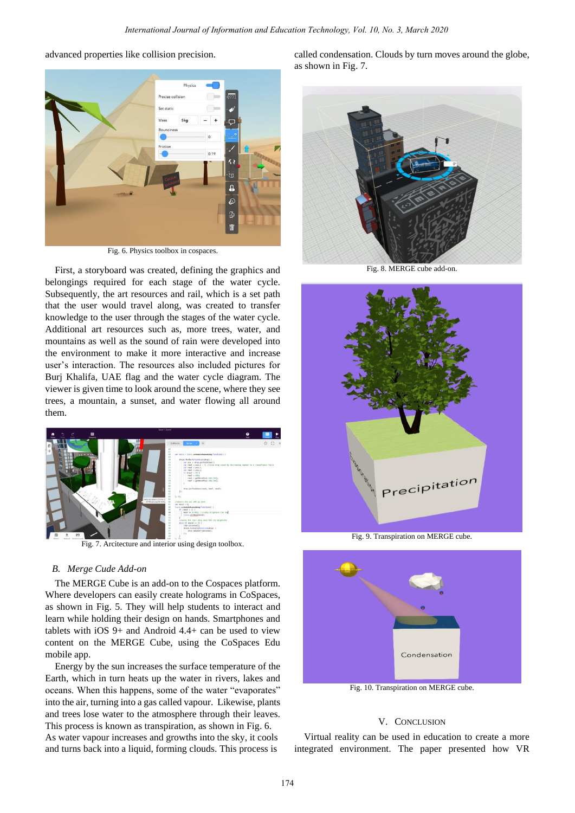



Fig. 6. Physics toolbox in cospaces.

First, a storyboard was created, defining the graphics and belongings required for each stage of the water cycle. Subsequently, the art resources and rail, which is a set path that the user would travel along, was created to transfer knowledge to the user through the stages of the water cycle. Additional art resources such as, more trees, water, and mountains as well as the sound of rain were developed into the environment to make it more interactive and increase user"s interaction. The resources also included pictures for Burj Khalifa, UAE flag and the water cycle diagram. The viewer is given time to look around the scene, where they see trees, a mountain, a sunset, and water flowing all around them.



Fig. 7. Arcitecture and interior using design toolbox.

## *B. Merge Cude Add-on*

The MERGE Cube is an add-on to the Cospaces platform. Where developers can easily create holograms in CoSpaces, as shown in Fig. 5. They will help students to interact and learn while holding their design on hands. Smartphones and tablets with iOS 9+ and Android 4.4+ can be used to view content on the MERGE Cube, using the CoSpaces Edu mobile app.

Energy by the sun increases the surface temperature of the Earth, which in turn heats up the water in rivers, lakes and oceans. When this happens, some of the water "evaporates" into the air, turning into a gas called vapour. Likewise, plants and trees lose water to the atmosphere through their leaves. This process is known as transpiration, as shown in Fig. 6. As water vapour increases and growths into the sky, it cools and turns back into a liquid, forming clouds. This process is

called condensation. Clouds by turn moves around the globe, as shown in Fig. 7.



Fig. 8. MERGE cube add-on.



Fig. 9. Transpiration on MERGE cube.



Fig. 10. Transpiration on MERGE cube.

## V. CONCLUSION

Virtual reality can be used in education to create a more integrated environment. The paper presented how VR